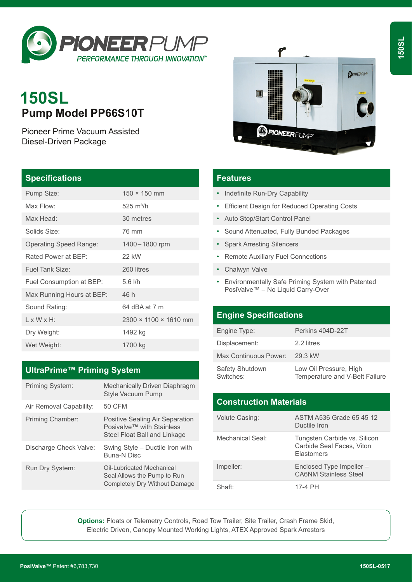

# **150SL Pump Model PP66S10T**

Pioneer Prime Vacuum Assisted Diesel-Driven Package

#### **Specifications**

| Pump Size:                    | $150 \times 150$ mm               |
|-------------------------------|-----------------------------------|
| Max Flow:                     | $525 \text{ m}^3/h$               |
| Max Head:                     | 30 metres                         |
| Solids Size:                  | 76 mm                             |
| <b>Operating Speed Range:</b> | 1400 - 1800 rpm                   |
| Rated Power at BEP:           | 22 kW                             |
| Fuel Tank Size:               | 260 litres                        |
| Fuel Consumption at BEP:      | $5.6$ I/h                         |
| Max Running Hours at BEP:     | 46 h                              |
| Sound Rating:                 | 64 dBA at 7 m                     |
| $1 \times W \times H$ :       | $2300 \times 1100 \times 1610$ mm |
| Dry Weight:                   | 1492 kg                           |
| Wet Weight:                   | 1700 kg                           |

## **UltraPrime™ Priming System**

| Priming System:         | Mechanically Driven Diaphragm<br><b>Style Vacuum Pump</b>                                    |
|-------------------------|----------------------------------------------------------------------------------------------|
| Air Removal Capability: | <b>50 CFM</b>                                                                                |
| Priming Chamber:        | Positive Sealing Air Separation<br>Posivalve™ with Stainless<br>Steel Float Ball and Linkage |
| Discharge Check Valve:  | Swing Style – Ductile Iron with<br><b>Buna-N Disc</b>                                        |
| Run Dry System:         | Oil-Lubricated Mechanical<br>Seal Allows the Pump to Run<br>Completely Dry Without Damage    |



## **Features**

- Indefinite Run-Dry Capability
- Efficient Design for Reduced Operating Costs
- Auto Stop/Start Control Panel
- Sound Attenuated, Fully Bunded Packages
- Spark Arresting Silencers
- Remote Auxiliary Fuel Connections
- Chalwyn Valve
- Environmentally Safe Priming System with Patented PosiValve™ – No Liquid Carry-Over

#### **Engine Specifications**

| Engine Type:                 | Perkins 404D-22T                                         |
|------------------------------|----------------------------------------------------------|
| Displacement:                | 2.2 litres                                               |
| Max Continuous Power:        | 29.3 kW                                                  |
| Safety Shutdown<br>Switches: | Low Oil Pressure, High<br>Temperature and V-Belt Failure |

| <b>Construction Materials</b> |                                                                                |  |
|-------------------------------|--------------------------------------------------------------------------------|--|
| <b>Volute Casing:</b>         | ASTM A536 Grade 65 45 12<br>Ductile Iron                                       |  |
| Mechanical Seal:              | Tungsten Carbide vs. Silicon<br>Carbide Seal Faces, Viton<br><b>Flastomers</b> |  |
| Impeller:                     | Enclosed Type Impeller -<br><b>CA6NM Stainless Steel</b>                       |  |
| Shaft:                        | 17-4 PH                                                                        |  |

**Options:** Floats or Telemetry Controls, Road Tow Trailer, Site Trailer, Crash Frame Skid, Electric Driven, Canopy Mounted Working Lights, ATEX Approved Spark Arrestors